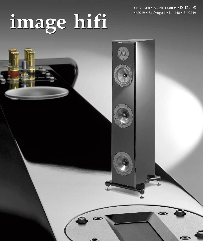CH 23 SFR • A,L,NL 13,80 € • D 12,- € 4/2019 • Juli/August • Nr. 148 • B 40249

## image hifi

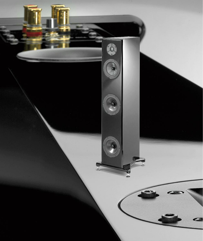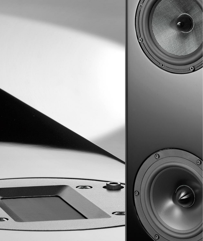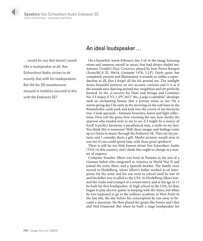

**…would be one that doesn't sound like a loudspeaker at all. Von Schweikert Audio strives to do exactly that with his loudspeakers. But did the US manufacturer steeped in tradition succeed in this with the Endeavor SE?**

## An ideal loudspeaker…

On a beautiful, warm February day, I sit in the image listening room and immerse myself in music that had always eluded me: Antonio Vivaldi's *Flute Concertos*, played by Jean-Pierre Rampal (Erato/RCA ZL 30624, Germany 1978, 3-LP). Fairly quiet, but completely present and illuminated, it sounds so unlike a reproduction at all, that I forget all the kit around me. The sunlight draws beautiful patterns on our acoustic curtains and it is as if the sounds were dancing around me: weightless and yet perfectly formed. In the "Concerto for Flute and Strings and Continuo No. 5 F major, F. VI,  $1$  (PV 262)" the "Largo e cantabile" develops such an enchanting beauty that a picture arises in me: On a warm spring day I lie early in the morning on the soft lawn in the Possenhofen castle park and look into the crown of my favourite tree. I look upwards – between branches, leaves and light reflections. How soft the grass, how warming the sun, how cheeky the sparrow who landed next to me to see if I might be a source of food! A perfect harmony, a paradisiacal state, a smile on my face. You think this is nonsense? Well, these images and feelings come up as I listen to music through the Endeavor SE. They are my pictures and I consider them a gift. Maybe pictures would arise in you too if you could spend time with these great speakers?

There is still far too little known about Von Schweikert Audio (VSA) in this country, and I think this ought to change as a matter of urgency.

Company founder Albert wasB64DJUJFO born in Panama aOE moved to Heidelberg BT B DIJME, where Albert's father wBT TUBUJPOFEJUThe army and his son went to school until he was 16 and his father was recalled to the USA. In Heidelberg Albert lear-ned the violin and trumpet at a conservatory and at the age of 12 he built his first loudspeaker. At high school in the USA, he then began to play electric guitar in keeping with the times, but when he was sup posed to go to the military academy in West Point in the late 60s, the day before his conscription he ran away to be -come a musician. He then played for greats like Sonny and Cher and Neil Diamond. But when he built a stage loudspeaker for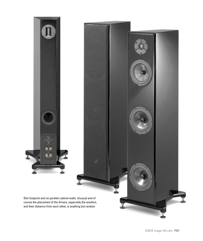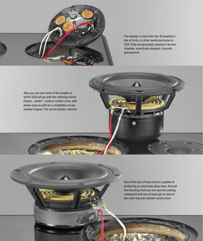

The tweeter is also from Von Schweikert's box of tricks, in other words exclusive to VSA. Fully encapsulated, playing in its own chamber, selectively damped, it sounds phenomenal

Also you can see some of the lengths to which VSA will go with the midrange driver. Classic "spider", modern carbon cone, with phase-plug as well as a completely encapsulated magnet. The sound speaks volumes

> One of the pair of bass drivers capable of producing an amazingly deep bass. Around the mounting hole you can see the sealing compound and can at least get an idea of the multi-layered cabinet construction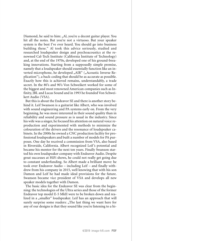Diamond, he said to him: "Al, you're a decent guitar player. You hit all the notes. But you're not a virtuoso. But your speaker system is the best I've ever heard. You should go into business building these." Al took this advice seriously, studied and researched loudspeaker design and psychoacoustics at the renowned Cal-Tech Institute (California Institute of Technology) and, at the end of the 1970s, developed one of his ground-breaking innovations. Starting from a supposedly simple premise, namely that a loudspeaker should essentially function like an inverted microphone, he developed "AIR" ("Acoustic Inverse Replication"), a back-coding that should be as accurate as possible. Exactly how this is achieved remains, understandably, a trade secret. In the 80's and 90's Von Schweikert worked for some of the biggest and most renowned American companies such as Infinity, JBL and Lucas Sound and in 1993 he founded Von Schweikert Audio (VSA).

But this is about the Endeavor SE and there is another story behind it. Leif Swanson is a guitarist like Albert, who was involved with sound engineering and PA systems early on. From the very beginning, he was more interested in their sound quality than in reliability and sound pressure as is usual in the industry. Since his wife was a singer, he focused his attention on natural voice reproduction and experimented with methods to minimize the colouration of the drivers and the resonance of loudspeaker cabinets. In the 2000s he owned a CNC production facility for professional loudspeakers and built a number of models for PA purposes. One day he received a commission from VSA, also based in Riverside, California. Albert recognized Leif's potential and became his mentor for the next ten years. Finally Swanson started his own loudspeaker company with Endeavor Audio. Despite great successes at HiFi shows, he could not really get going due to constant underfunding. So Albert made a brilliant move: he took over Endeavor Audio – including Leif – and finally withdrew from his company in 2015, well knowing that with his son Damon and Leif he had made ideal provisions for the future. Swanson became vice president of VSA and develops all new speaker models together with Damon.

The basic idea for the Endeavor SE was clear from the beginning: the technologies of the Ultra series and those of the former Endeavor top model E-5 MkII were to be broken down and realized in a "smaller" loudspeaker. Leif has an approach that will surely surprise some readers: "The last thing we want here for any of our designs is that they sound like you're listening to a hi-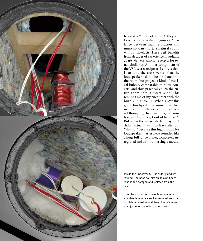

fi speaker." Instead, at VSA they are looking for a realistic "musical" balance between high resolution and musicality, in short: a natural sound without artefacts. Here Leif benefits from decades of experience in judging "bare" drivers, which he selects for tonal similarity. Another component of the VSA secret recipe, as Leif revealed, is to tune the crossover so that the loudspeakers don't just radiate into the room, but project a kind of musical bubble, comparable to a live concert, and thus practically turn the entire room into a sweet spot. This reminds me of my encounter with the huge VSA Ultra 11. When I saw this giant loudspeaker – more than two metres high with over a dozen drivers  $-$  I thought: "That can't be good, now how am I gonna get out of here fast?" But when the music started playing, I didn't actually want to leave after all. Why not? Because this highly complex loudspeaker masterpiece sounded like a huge full range driver, completely integrated and as if from a single mould.

Inside the Endeavor SE it is orderly and yet refined. The bass coil sits on its own board, resonance damped and isolated from the rest…

…of the crossover, whose fine components are also damped as well as isolated from the insulation board behind them. There's more than just one kind of insulation here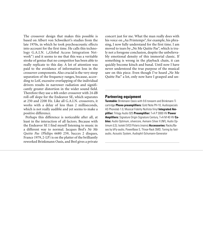The crossover design that makes this possible is based on Albert von Schweikert's studies from the late 1970s, in which he took psychoacoustic effects into account for the first time. He calls this technology G.A.I.N. ("Global Access Integration Network") and it seems to me that this was a veritable stroke of genius that no competitor has been able to really replicate to this day. A lot of attention was paid to the avoidance of information loss in the crossover components.Also crucial is the very steep separation of the frequency ranges, because, according to Leif, excessive overlapping of the individual drivers results in narrower radiation and significantly greater distortion in the wider sound field. Therefore they use a 4th order crossover with 24 dB roll-off slope for the Endeavor SE, which separates at 250 and 2200 Hz. Like all G.A.I.N. crossovers, it works with a delay of less than 2 milliseconds, which is not really audible and yet seems to make a positive difference.

Perhaps this difference is noticeable after all, at least in the interaction of all factors. Because with the Endeavor SE I find myself listening to music in a different way to normal. Jacques Brel's *Ne Me Quitte Pas* (Philips 6680 259, Succes 2 disques, France 1979, 2-LP) is on the platter of the brilliantly reworked Brinkmann Oasis, and Brel gives a private concert just for me. What the man really does with his voice on "Au Printemps", for example, his phrasing, I now fully understand for the first time. I am moved to tears by "Ne Me Quitte Pas", which is truly not a foregone conclusion, despite the unbelievably emotional density of this immortal classic. If something is wrong in the playback chain, it can quickly become kitsch and banal. Until now I have never understood the true purpose of the musical saw on this piece. Even though I've heard "Ne Me Quitte Pas" a lot, only now have I grasped and un-

## **Partnering equipment**

**Turntable:** Brinkmann Oasis with 9.6 tonearm and Brinkmann Ti cartridge **Phono preamplifiers:** Gold Note PH-10, Audiospecials AS Phonolab 1.0, Musical Fidelity NuVista Vinyl **Integrated Amplifier:** Trilogy Audio 925 **Preamplifier:** T+A P 3000 HV **Power Amplifiers:** Signature Origin Signature Century, T+A M 40 HV **Cables:** Audio Optimum, silvercore, Axmann Silver X (NF); Audio Optimum (LS); Isotek EVO3 Polaris (mains) **Accessories:** Racks/Bases by bFly-audio, PowerBase S, Thixar-Rack SMD, Tuning by fastaudio, Acoustic System, Audiophil-Schumann-Generator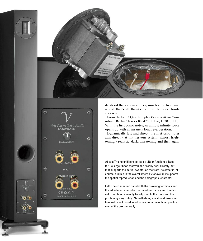



derstood the song in all its genius for the first time – and that's all thanks to these fantastic loudspeakers.

From the Fauré Quartet I play *Pictures At An Exhibition* (Berlin Classics 885470011196, D 2018, LP). With the first piano notes, an almost infinite space opens up with an insanely long reverberation.

Dynamically fast and direct, the first cello notes aim directly at my nervous system: almost frighteningly realistic, dark, threatening and then again

Above: The magnificent so-called "Rear Ambience Tweeter", a large ribbon that you can't really hear directly, but that supports the actual tweeter on the front. Its effect is, of course, audible in the overall interplay: above all it supports the spatial reproduction and the holographic character.

Left: The connection panel with the bi-wiring terminals and the adjustment controller for the ribbon is tidy and functional. The ribbon can only be adjusted to the room and the positioning very subtly. Nevertheless, you should take your time with it  $-$  it is well worthwhile, as is the optimal positioning of the box generally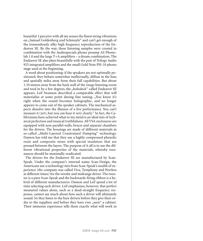beautiful.I perceive with all my senses the finest string vibrations on "Samuel Goldenberg und Schmuyle" and can't get enough of the tremendously silky high frequency reproduction of the Endeavor SE. By the way, these listening samples were created in combination with the Audiospecials phono preamp AS Phonolab 1.0 and the large T+A amplifiers – a dream combination. The Endeavor SE also plays beautifully with the pair of Trilogy Audio 925 integrated amplifiers and the small Gold Note PH-10 phono stage used at the beginning.

A word about positioning: if the speakers are not optimally positioned, they behave somewhat ineffectually, diffuse in the bass and spatially miles away from their full capabilities. But about 1.10 metres away from the back wall of the *image* listening room and toed in by a few degrees, the "holodeck" called Endeavor SE appears. Leif Swanson described a comparable effect that will materialise at some point during fine tuning: "You know it's right when the sound becomes holographic, and no longer appears to come out of the speaker cabinets. The mechanical aspects dissolve into the illusion of a live performance. You can't measure it (yet), but you can hear it very clearly." In fact, the Californians have achieved what to my mind is an ideal mix of technical perfection and musical truthfulness.All VSA enclosures are equipped with non-parallel walls, braces and separate chambers for the drivers. The housings are made of different materials in so-called "Multi-Layered Constrained Damping" technology. Damon has told me that they use a highly compressed phenolic resin and composite stone with special insulators that are pressed between the layers. The purpose of it all is to use the different vibrational properties of the materials, whereby resonances should be maximally eradicated.

The drivers for the Endeavor SE are manufactured by Scan-Speak. Under the company's internal name Scan-Design, the Americans use a technology mix from Scan-Speak's wealth of experience (the company was called Viva, Tymphony and Peerless at different times) for the woofer and midrange driver. The tweeter is a pure Scan-Speak and the backwards-firing ribbon is a hybrid of different manufacturers. Damon and Leif spend a lot of time selecting each driver. Leif emphasises, however, that perfect measured values alone, such as a dead-straight frequency response, cannot say much about how such a driver will ultimately sound. So they listen to the bare drivers before they give their order to the suppliers and before they have ever "seen" a cabinet. Their immense experience tells them exactly what will work in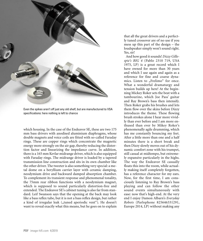

Even the spikes aren't off just any old shelf, but are manufactured to VSA specifications: here nothing is left to chance

which housing. In the case of the Endeavor SE, these are two 175 mm bass drivers with anodised aluminium diaphragms, whose double magnets and voice coils are fitted with so-called Faraday rings. These are copper rings which concentrate the magnetic energy more strongly on the air gap, thereby reducing the distortion factor and linearizing the impedance curve. In addition, there is a 165 mm Kevlar midrange driver, which is also equipped with Faraday rings. The midrange driver is loaded by a tapered transmission line construction and sits in its own chamber like the other driver. The tweeter is also something very special: a metal dome on a beryllium carrier layer with ceramic damping, neodymium drive and backward damped absorption chamber. To complement its transient response and phenomenal tonality, the 75mm rear ribbon functions with a neodymium magnet, which is supposed to sound particularly distortion-free and extended. The Endeavor SE's cabinet tuning is also far from standard. Leif Swanson says that the opening at the back may look like a bass reflex tube, but it is not a bass reflex design, but rather a kind of irregular leak ("tuned aperiodic vent"). He doesn't want to reveal exactly what this means, but he goes on to explain

that all the great drivers and a perfectly tuned crossover are of no use if you mess up this part of the design – the loudspeaker simply won't sound right. Yes, sir!

And how good it sounds! *Dizzy Gillespie's BIG 4* (Pablo 2310 719, USA 1975, LP) is a great record which I have owned for more than 30 years and which I use again and again as a reference for fine and coarse dynamics. Listen to "Frelimo" for once. What a wonderful dramaturgy and tension builds up here! At the beginning Mickey Roker sets the beat with a tambourine, which Joe Pass' guitar and Ray Brown's bass then intensify. Then Roker grabs his brushes and lets them flow over the skins before Dizzy introduces the theme. These flowing brush strokes alone I hear more vividly than ever before and I am more enthused than ever by Mikey Roker's phenomenally agile drumming, which has me constantly bouncing my feet. After a little more than one and a half minutes there is a short break and then Dizzy slowly moves out of his dynamic comfort zone with his trumpet, still casual at midtempo, but extremely expansive particularly in the highs. The way the Endeavor SE casually floats this into the room, while actually making itself completely forgotten, has a reference character for my ears. Now, for the first time, I am consciously listening to Ray Brown's bass playing and can follow the other sound events simultaneously with ease: now that's high-end. At the very end I enjoy Damon Albarn's *Everyday Robots* (Parlophone 825646331291, Europe 2014, LP) without making any